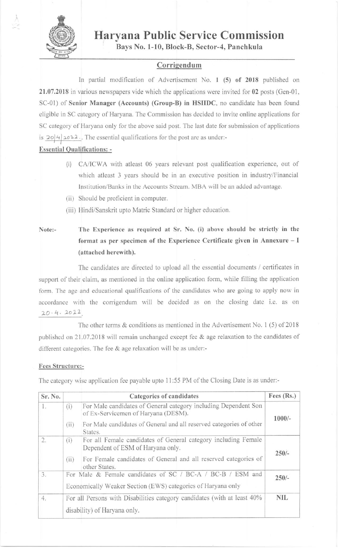

# Haryana Public Service Commission

Bays No. 1-10, BIock-8, Sector-4, Panchkula

## Corrigendum

In partial modification of Advertisement No. I (5) of 2018 published on 21.07.2018 in various newspapers vide which the applications were invited for 02 posts (Gen-01, SC-01) of Senior Manager (Accounts) (Group-B) in HSIIDC, no candidate has been found eligible in SC category of Haryana. The Commission has decided to invite online applications for SC category of Haryana only for the above said post. The last date for submission of applications is  $20|4|2022$ . The essential qualifications for the post are as under:-

### Essential Oualifications; -

- (i) CA/ICWA with atleast 06 years relevant post qualification experience, out of which atleast 3 years should be in an executive position in industry/Financial Institution/Banks in the Accounts Stream. MBA will be an added advantage.
- (ii) Should be proficient in computer.
- (iii) Hindi/Sanskrit upto Matric Standard or higher education.

Note:- The Experience as required at Sr. No. (i) abovc should be strictly in the format as per specimen of the Experience Certificate given in Annexure - I (attached herewith).

The candidates are directed to upload all the essential documents / certificates in support of their claim, as mentioned in the online application form, while filling the application form. The age and educational qualifications of the candidates who are going to apply now in accordance with the corrigendum will be decided as on the closing date i.e. as on  $20.4.2022$ 

The other tems & conditions as mentioned in the Advertisement No. 1 (5) of 2018 published on 21.07.2018 will remain unchanged except fee & age relaxation to the candidates of different categories. The fee & age relaxation will be as under:-

#### Fees Structure:-

The category wise application fee payable upto 11:55 PM of the Closing Date is as under:-

| Sr. No.          | Categories of candidates                                                                                                                                                                                | Fees $(Rs.)$ |  |
|------------------|---------------------------------------------------------------------------------------------------------------------------------------------------------------------------------------------------------|--------------|--|
| 1.               | For Male candidates of General category including Dependent Son<br>(i)<br>of Ex-Servicemen of Haryana (DESM).<br>For Male candidates of General and all reserved categories of other<br>(ii)<br>States. | $1000/-$     |  |
| $\overline{2}$ . | For all Female candidates of General category including Female<br>(i)<br>Dependent of ESM of Haryana only.<br>For Female candidates of General and all reserved categories of<br>(ii)<br>other States.  | $250/-$      |  |
| 3.               | For Male & Female candidates of SC / BC-A / BC-B / ESM and<br>Economically Weaker Section (EWS) categories of Haryana only                                                                              |              |  |
| 4.               | For all Persons with Disabilities category candidates (with at least 40%<br>disability) of Haryana only.                                                                                                | <b>NIL</b>   |  |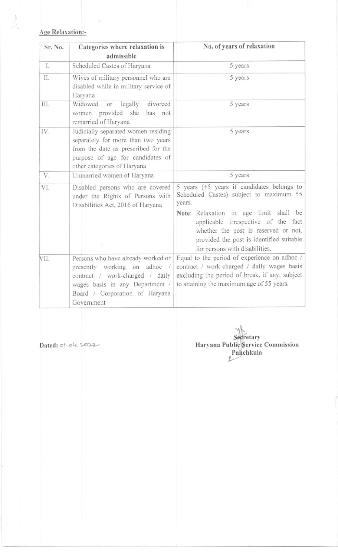# Age Relaxation:-

 $\frac{1}{2}$ 

| Sr. No. | Categories where relaxation is<br>admissible                                                                                                                                             | No. of years of relaxation                                                                                                                                                                          |
|---------|------------------------------------------------------------------------------------------------------------------------------------------------------------------------------------------|-----------------------------------------------------------------------------------------------------------------------------------------------------------------------------------------------------|
| I.      | Scheduled Castes of Haryana                                                                                                                                                              | 5 years                                                                                                                                                                                             |
| Π.      | Wives of military personnel who are<br>disabled while in military service of<br>Haryana                                                                                                  | 5 years                                                                                                                                                                                             |
| III.    | Widowed<br>legally<br>divorced<br>or<br>women provided she<br>has<br>not<br>remarried of Haryana                                                                                         | 5 years                                                                                                                                                                                             |
| IV.     | Judicially separated women residing<br>separately for more than two years<br>from the date as prescribed for the<br>purpose of age for candidates of<br>other categories of Haryana      | 5 years                                                                                                                                                                                             |
| V.      | Unmarried women of Haryana                                                                                                                                                               | 5 years                                                                                                                                                                                             |
| VI.     | Disabled persons who are covered<br>under the Rights of Persons with<br>Disabilities Act, 2016 of Haryana                                                                                | 5 years $(+5$ years if candidates belongs to<br>Scheduled Castes) subject to maximum 55<br>years.                                                                                                   |
|         |                                                                                                                                                                                          | Note: Relaxation in age limit shall be<br>applicable irrespective of the fact<br>whether the post is reserved or not,<br>provided the post is identified suitable<br>for persons with disabilities. |
| VII.    | Persons who have already worked or<br>presently working on adhoc /<br>contract / work-charged / daily<br>wages basis in any Department /<br>Board / Corporation of Haryana<br>Government | Equal to the period of experience on adhoc /<br>contract / work-charged / daily wages basis<br>excluding the period of break, if any, subject<br>to attaining the maximum age of 55 years.          |

Dated: 01.04.2022

Secretary<br>Haryana Public Service Commission<br>Panchkula